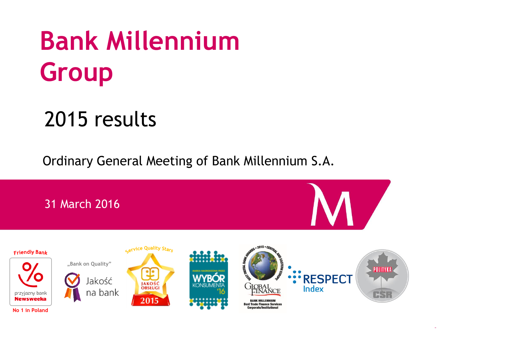# **Bank Millennium Group**

# 2015 results

Ordinary General Meeting of Bank Millennium S.A.

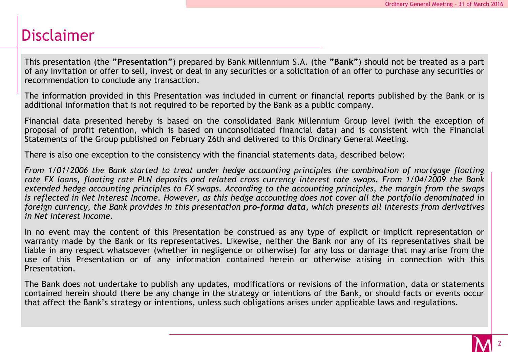# Disclaimer

This presentation (the **"Presentation"**) prepared by Bank Millennium S.A. (the **"Bank"**) should not be treated as a part of any invitation or offer to sell, invest or deal in any securities or a solicitation of an offer to purchase any securities or recommendation to conclude any transaction.

The information provided in this Presentation was included in current or financial reports published by the Bank or is additional information that is not required to be reported by the Bank as a public company.

Financial data presented hereby is based on the consolidated Bank Millennium Group level (with the exception of proposal of profit retention, which is based on unconsolidated financial data) and is consistent with the Financial Statements of the Group published on February 26th and delivered to this Ordinary General Meeting.

There is also one exception to the consistency with the financial statements data, described below:

*From 1/01/2006 the Bank started to treat under hedge accounting principles the combination of mortgage floating* rate FX loans, floating rate PLN deposits and related cross currency interest rate swaps. From 1/04/2009 the Bank extended hedge accounting principles to FX swaps. According to the accounting principles, the margin from the swaps is reflected in Net Interest Income. However, as this hedge accounting does not cover all the portfolio denominated in foreign currency, the Bank provides in this presentation pro-forma data, which presents all interests from derivatives *in Net Interest Income.*

In no event may the content of this Presentation be construed as any type of explicit or implicit representation or warranty made by the Bank or its representatives. Likewise, neither the Bank nor any of its representatives shall be liable in any respect whatsoever (whether in negligence or otherwise) for any loss or damage that may arise from the use of this Presentation or of any information contained herein or otherwise arising in connection with this Presentation.

The Bank does not undertake to publish any updates, modifications or revisions of the information, data or statements contained herein should there be any change in the strategy or intentions of the Bank, or should facts or events occur that affect the Bank's strategy or intentions, unless such obligations arises under applicable laws and regulations.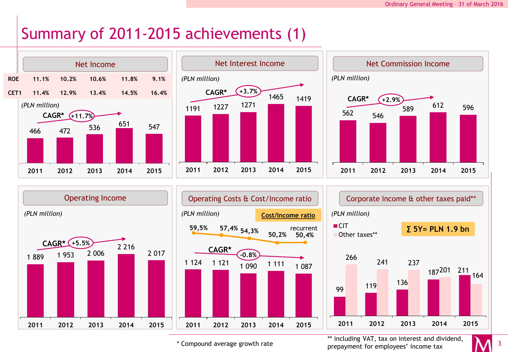# Summary of 2011-2015 achievements (1)





**-0.8%**







\* Compound average growth rate

\*\* including VAT, tax on interest and dividend, prepayment for employees' income tax

164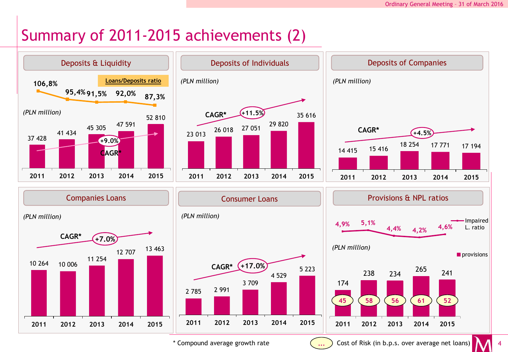# Summary of 2011-2015 achievements (2)



\* Compound average growth rate

**...**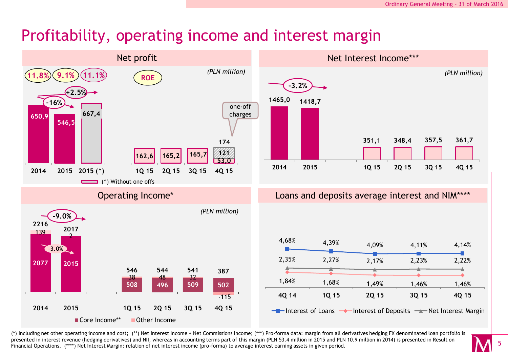# Profitability, operating income and interest margin



(\*) Including net other operating income and cost; (\*\*) Net Interest Income + Net Commissions Income; (\*\*\*) Pro-forma data: margin from all derivatives hedging FX denominated loan portfolio is presented in interest revenue (hedging derivatives) and NII, whereas in accounting terms part of this margin (PLN 53.4 million in 2015 and PLN 10.9 million in 2014) is presented in Result on Financial Operations. (\*\*\*\*) Net Interest Margin: relation of net interest income (pro-forma) to average interest earning assets in given period.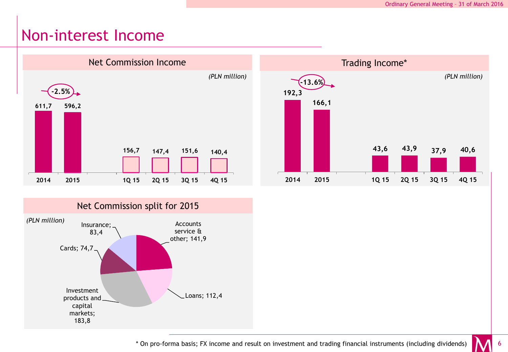#### Non-interest Income







\* On pro-forma basis; FX income and result on investment and trading financial instruments (including dividends)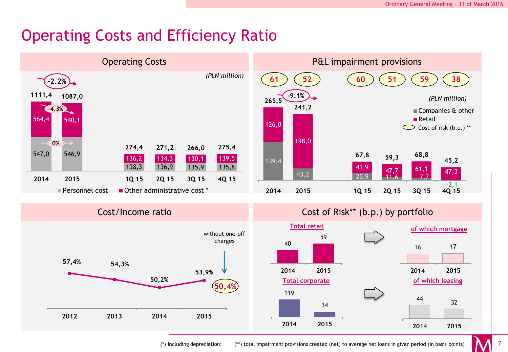# Operating Costs and Efficiency Ratio

**50,2%**

**2012 2013 2014 2015**



**50,4%**

(\*) Including depreciation; (\*\*) total impairment provisions created (net) to average net loans in given period (in basis points)

**2014 2015**

34

**Total corporate of which leasing**

119

<sup>44</sup> <sup>32</sup>

**2014 2015**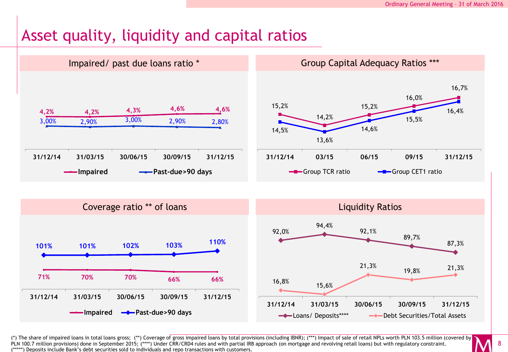# Asset quality, liquidity and capital ratios



(\*) The share of impaired loans in total loans gross; (\*\*) Coverage of gross impaired loans by total provisions (including IBNR); (\*\*\*) Impact of sale of retail NPLs worth PLN 103.5 million (covered by PLN 100.7 million provisions) done in September 2015; (\*\*\*\*) Under CRR/CRD4 rules and with partial IRB approach (on mortgage and revolving retail loans) but with regulatory constraint. (\*\*\*\*\*) Deposits include Bank's debt securities sold to individuals and repo transactions with customers.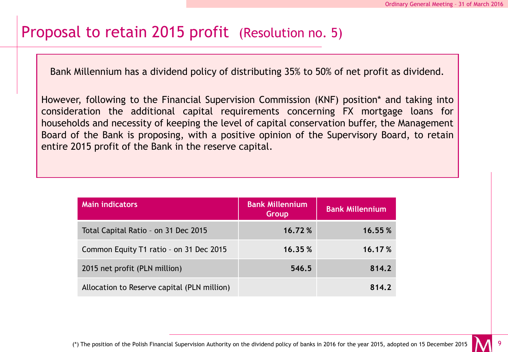### Proposal to retain 2015 profit (Resolution no. 5)

Bank Millennium has a dividend policy of distributing 35% to 50% of net profit as dividend.

However, following to the Financial Supervision Commission (KNF) position\* and taking into consideration the additional capital requirements concerning FX mortgage loans for households and necessity of keeping the level of capital conservation buffer, the Management Board of the Bank is proposing, with a positive opinion of the Supervisory Board, to retain entire 2015 profit of the Bank in the reserve capital.

| <b>Main indicators</b>                      | <b>Bank Millennium</b><br>Group | <b>Bank Millennium</b> |
|---------------------------------------------|---------------------------------|------------------------|
| Total Capital Ratio - on 31 Dec 2015        | 16.72%                          | 16.55%                 |
| Common Equity T1 ratio - on 31 Dec 2015     | 16.35 %                         | 16.17%                 |
| 2015 net profit (PLN million)               | 546.5                           | 814.2                  |
| Allocation to Reserve capital (PLN million) |                                 | 814.2                  |